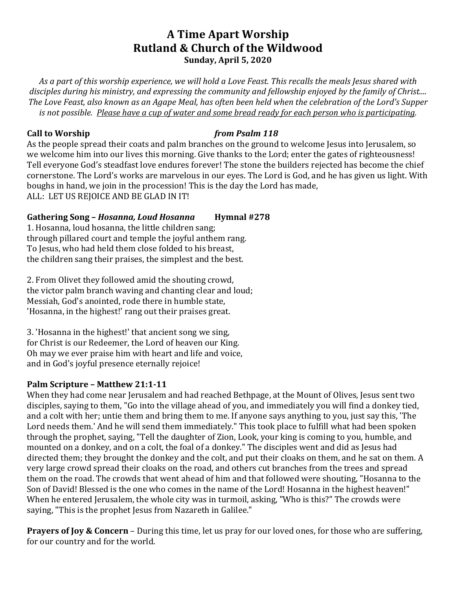# **A Time Apart Worship Rutland & Church of the Wildwood Sunday, April 5, 2020**

As a part of this worship experience, we will hold a Love Feast. This recalls the meals *Jesus* shared with disciples during his ministry, and expressing the community and fellowship enjoyed by the family of Christ.... *The Love Feast, also known as an Agape Meal, has often been held when the celebration of the Lord's Supper is* not possible. Please have a cup of water and some bread ready for each person who is participating.

#### **Call to Worship** *from Psalm* 118

As the people spread their coats and palm branches on the ground to welcome Jesus into Jerusalem, so we welcome him into our lives this morning. Give thanks to the Lord; enter the gates of righteousness! Tell everyone God's steadfast love endures forever! The stone the builders rejected has become the chief cornerstone. The Lord's works are marvelous in our eyes. The Lord is God, and he has given us light. With boughs in hand, we join in the procession! This is the day the Lord has made, ALL: LET US REJOICE AND BE GLAD IN IT!

## **Gathering Song –** *Hosanna, Loud Hosanna* **Hymnal #278**

1. Hosanna, loud hosanna, the little children sang; through pillared court and temple the joyful anthem rang. To Jesus, who had held them close folded to his breast, the children sang their praises, the simplest and the best.

2. From Olivet they followed amid the shouting crowd, the victor palm branch waving and chanting clear and loud; Messiah, God's anointed, rode there in humble state, 'Hosanna, in the highest!' rang out their praises great.

3. 'Hosanna in the highest!' that ancient song we sing, for Christ is our Redeemer, the Lord of heaven our King. Oh may we ever praise him with heart and life and voice, and in God's joyful presence eternally rejoice!

### **Palm Scripture - Matthew 21:1-11**

When they had come near Jerusalem and had reached Bethpage, at the Mount of Olives, Jesus sent two disciples, saying to them, "Go into the village ahead of you, and immediately you will find a donkey tied, and a colt with her; untie them and bring them to me. If anyone says anything to you, just say this, 'The Lord needs them.' And he will send them immediately." This took place to fulfill what had been spoken through the prophet, saying, "Tell the daughter of Zion, Look, your king is coming to you, humble, and mounted on a donkey, and on a colt, the foal of a donkey." The disciples went and did as Jesus had directed them; they brought the donkey and the colt, and put their cloaks on them, and he sat on them. A very large crowd spread their cloaks on the road, and others cut branches from the trees and spread them on the road. The crowds that went ahead of him and that followed were shouting, "Hosanna to the Son of David! Blessed is the one who comes in the name of the Lord! Hosanna in the highest heaven!" When he entered Jerusalem, the whole city was in turmoil, asking, "Who is this?" The crowds were saying, "This is the prophet Jesus from Nazareth in Galilee."

**Prayers of Joy & Concern** – During this time, let us pray for our loved ones, for those who are suffering, for our country and for the world.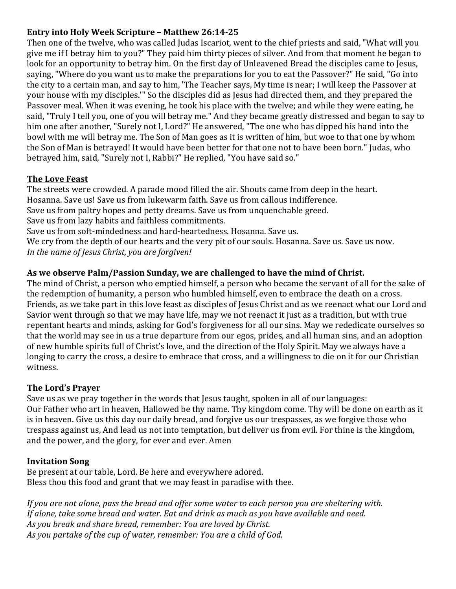## **Entry into Holy Week Scripture - Matthew 26:14-25**

Then one of the twelve, who was called Judas Iscariot, went to the chief priests and said, "What will you give me if I betray him to you?" They paid him thirty pieces of silver. And from that moment he began to look for an opportunity to betray him. On the first day of Unleavened Bread the disciples came to Jesus, saying, "Where do you want us to make the preparations for you to eat the Passover?" He said, "Go into the city to a certain man, and say to him, 'The Teacher says, My time is near; I will keep the Passover at your house with my disciples." So the disciples did as Jesus had directed them, and they prepared the Passover meal. When it was evening, he took his place with the twelve; and while they were eating, he said, "Truly I tell you, one of you will betray me." And they became greatly distressed and began to say to him one after another, "Surely not I, Lord?" He answered, "The one who has dipped his hand into the bowl with me will betray me. The Son of Man goes as it is written of him, but woe to that one by whom the Son of Man is betrayed! It would have been better for that one not to have been born." Judas, who betrayed him, said, "Surely not I, Rabbi?" He replied, "You have said so."

### **The Love Feast**

The streets were crowded. A parade mood filled the air. Shouts came from deep in the heart. Hosanna. Save us! Save us from lukewarm faith. Save us from callous indifference. Save us from paltry hopes and petty dreams. Save us from unquenchable greed. Save us from lazy habits and faithless commitments. Save us from soft-mindedness and hard-heartedness. Hosanna. Save us. We cry from the depth of our hearts and the very pit of our souls. Hosanna. Save us. Save us now. In the name of Jesus Christ, you are forgiven!

## As we observe Palm/Passion Sunday, we are challenged to have the mind of Christ.

The mind of Christ, a person who emptied himself, a person who became the servant of all for the sake of the redemption of humanity, a person who humbled himself, even to embrace the death on a cross. Friends, as we take part in this love feast as disciples of Jesus Christ and as we reenact what our Lord and Savior went through so that we may have life, may we not reenact it just as a tradition, but with true repentant hearts and minds, asking for God's forgiveness for all our sins. May we rededicate ourselves so that the world may see in us a true departure from our egos, prides, and all human sins, and an adoption of new humble spirits full of Christ's love, and the direction of the Holy Spirit. May we always have a longing to carry the cross, a desire to embrace that cross, and a willingness to die on it for our Christian witness.

### **The Lord's Prayer**

Save us as we pray together in the words that Jesus taught, spoken in all of our languages: Our Father who art in heaven, Hallowed be thy name. Thy kingdom come. Thy will be done on earth as it is in heaven. Give us this day our daily bread, and forgive us our trespasses, as we forgive those who trespass against us, And lead us not into temptation, but deliver us from evil. For thine is the kingdom, and the power, and the glory, for ever and ever. Amen

### **Invitation Song**

Be present at our table, Lord. Be here and everywhere adored. Bless thou this food and grant that we may feast in paradise with thee.

If you are not alone, pass the bread and offer some water to each person you are sheltering with. If alone, take some bread and water. Eat and drink as much as you have available and need. As you break and share bread, remember: You are loved by Christ. As you partake of the cup of water, remember: You are a child of God.